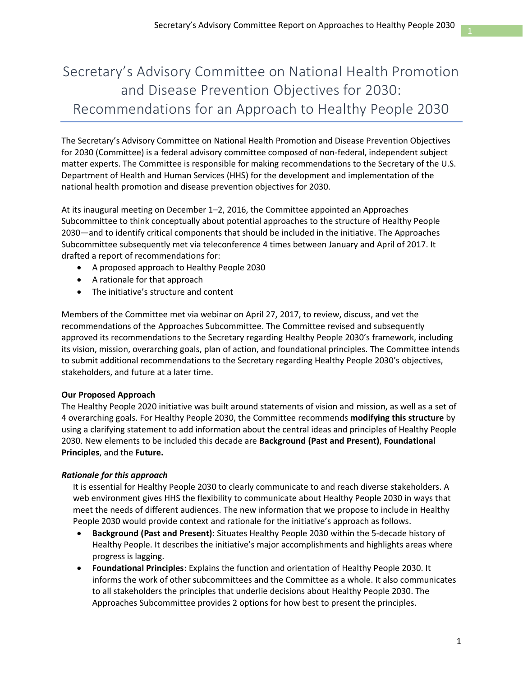# Secretary's Advisory Committee on National Health Promotion and Disease Prevention Objectives for 2030: Recommendations for an Approach to Healthy People 2030

The Secretary's Advisory Committee on National Health Promotion and Disease Prevention Objectives for 2030 (Committee) is a federal advisory committee composed of non-federal, independent subject matter experts. The Committee is responsible for making recommendations to the Secretary of the U.S. Department of Health and Human Services (HHS) for the development and implementation of the national health promotion and disease prevention objectives for 2030.

At its inaugural meeting on December 1–2, 2016, the Committee appointed an Approaches Subcommittee to think conceptually about potential approaches to the structure of Healthy People 2030—and to identify critical components that should be included in the initiative. The Approaches Subcommittee subsequently met via teleconference 4 times between January and April of 2017. It drafted a report of recommendations for:

- A proposed approach to Healthy People 2030
- A rationale for that approach
- The initiative's structure and content

Members of the Committee met via webinar on April 27, 2017, to review, discuss, and vet the recommendations of the Approaches Subcommittee. The Committee revised and subsequently approved its recommendations to the Secretary regarding Healthy People 2030's framework, including its vision, mission, overarching goals, plan of action, and foundational principles. The Committee intends to submit additional recommendations to the Secretary regarding Healthy People 2030's objectives, stakeholders, and future at a later time.

# **Our Proposed Approach**

The Healthy People 2020 initiative was built around statements of vision and mission, as well as a set of 4 overarching goals. For Healthy People 2030, the Committee recommends **modifying this structure** by using a clarifying statement to add information about the central ideas and principles of Healthy People 2030. New elements to be included this decade are **Background (Past and Present)**, **Foundational Principles**, and the **Future.**

# *Rationale for this approach*

It is essential for Healthy People 2030 to clearly communicate to and reach diverse stakeholders. A web environment gives HHS the flexibility to communicate about Healthy People 2030 in ways that meet the needs of different audiences. The new information that we propose to include in Healthy People 2030 would provide context and rationale for the initiative's approach as follows.

- **Background (Past and Present)**: Situates Healthy People 2030 within the 5-decade history of Healthy People. It describes the initiative's major accomplishments and highlights areas where progress is lagging.
- **Foundational Principles**: Explains the function and orientation of Healthy People 2030. It informs the work of other subcommittees and the Committee as a whole. It also communicates to all stakeholders the principles that underlie decisions about Healthy People 2030. The Approaches Subcommittee provides 2 options for how best to present the principles.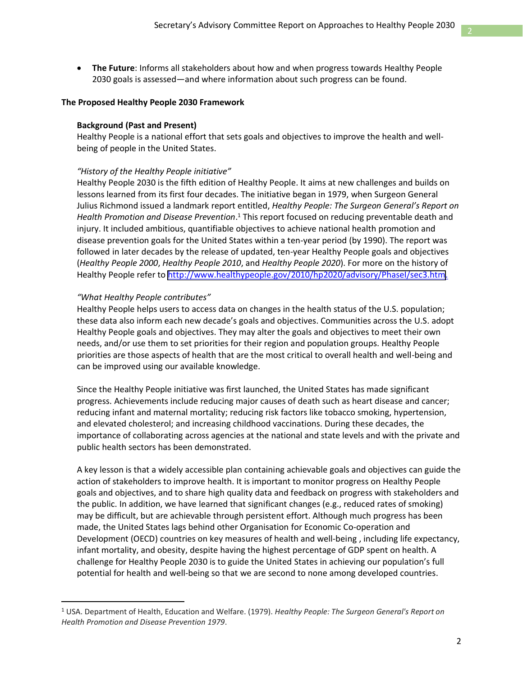• **The Future**: Informs all stakeholders about how and when progress towards Healthy People 2030 goals is assessed—and where information about such progress can be found.

#### **The Proposed Healthy People 2030 Framework**

#### **Background (Past and Present)**

Healthy People is a national effort that sets goals and objectives to improve the health and wellbeing of people in the United States.

#### *"History of the Healthy People initiative"*

Healthy People refer to <http://www.healthypeople.gov/2010/hp2020/advisory/PhaseI/sec3.htm>. Healthy People 2030 is the fifth edition of Healthy People. It aims at new challenges and builds on lessons learned from its first four decades. The initiative began in 1979, when Surgeon General Julius Richmond issued a landmark report entitled, *Healthy People: The Surgeon General's Report on Health Promotion and Disease Prevention*. <sup>1</sup> This report focused on reducing preventable death and injury. It included ambitious, quantifiable objectives to achieve national health promotion and disease prevention goals for the United States within a ten-year period (by 1990). The report was followed in later decades by the release of updated, ten-year Healthy People goals and objectives (*Healthy People 2000*, *Healthy People 2010*, and *Healthy People 2020*). For more on the history of

### *"What Healthy People contributes"*

Healthy People helps users to access data on changes in the health status of the U.S. population; these data also inform each new decade's goals and objectives. Communities across the U.S. adopt Healthy People goals and objectives. They may alter the goals and objectives to meet their own needs, and/or use them to set priorities for their region and population groups. Healthy People priorities are those aspects of health that are the most critical to overall health and well-being and can be improved using our available knowledge.

Since the Healthy People initiative was first launched, the United States has made significant progress. Achievements include reducing major causes of death such as heart disease and cancer; reducing infant and maternal mortality; reducing risk factors like tobacco smoking, hypertension, and elevated cholesterol; and increasing childhood vaccinations. During these decades, the importance of collaborating across agencies at the national and state levels and with the private and public health sectors has been demonstrated.

A key lesson is that a widely accessible plan containing achievable goals and objectives can guide the action of stakeholders to improve health. It is important to monitor progress on Healthy People goals and objectives, and to share high quality data and feedback on progress with stakeholders and the public. In addition, we have learned that significant changes (e.g., reduced rates of smoking) may be difficult, but are achievable through persistent effort. Although much progress has been made, the United States lags behind other Organisation for Economic Co-operation and Development (OECD) countries on key measures of health and well-being , including life expectancy, infant mortality, and obesity, despite having the highest percentage of GDP spent on health. A challenge for Healthy People 2030 is to guide the United States in achieving our population's full potential for health and well-being so that we are second to none among developed countries.

<sup>1</sup> USA. Department of Health, Education and Welfare. (1979). *Healthy People: The Surgeon General's Report on Health Promotion and Disease Prevention 1979*.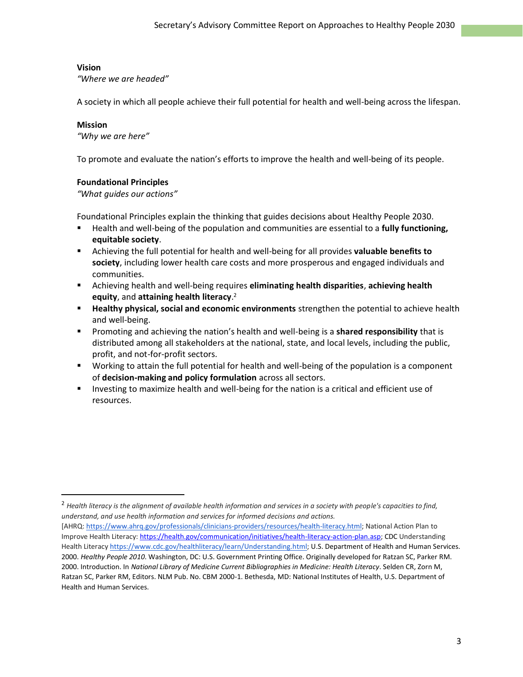# **Vision**

*"Where we are headed"*

A society in which all people achieve their full potential for health and well-being across the lifespan.

# **Mission**

 $\overline{a}$ 

*"Why we are here"*

To promote and evaluate the nation's efforts to improve the health and well-being of its people.

# **Foundational Principles**

*"What guides our actions"*

Foundational Principles explain the thinking that guides decisions about Healthy People 2030.

- Health and well-being of the population and communities are essential to a **fully functioning, equitable society**.
- Achieving the full potential for health and well-being for all provides **valuable benefits to society**, including lower health care costs and more prosperous and engaged individuals and communities.
- Achieving health and well-being requires **eliminating health disparities**, **achieving health equity**, and **attaining health literacy**. 2
- **EXTE:** Healthy physical, social and economic environments strengthen the potential to achieve health and well-being.
- Promoting and achieving the nation's health and well-being is a **shared responsibility** that is distributed among all stakeholders at the national, state, and local levels, including the public, profit, and not-for-profit sectors.
- Working to attain the full potential for health and well-being of the population is a component of **decision-making and policy formulation** across all sectors.
- Investing to maximize health and well-being for the nation is a critical and efficient use of resources.

<sup>2</sup> *Health literacy is the alignment of available health information and services in a society with people's capacities to find, understand, and use health information and services for informed decisions and actions.*

<sup>[</sup>AHRQ: [https://www.ahrq.gov/professionals/clinicians-providers/resources/health-literacy.html;](https://www.ahrq.gov/professionals/clinicians-providers/resources/health-literacy.html) National Action Plan to Improve Health Literacy: [https://health.gov/communication/initiatives/health-literacy-action-plan.asp;](https://health.gov/communication/initiatives/health-literacy-action-plan.asp) CDC Understanding Health Literacy [https://www.cdc.gov/healthliteracy/learn/Understanding.html;](https://www.cdc.gov/healthliteracy/learn/Understanding.html) U.S. Department of Health and Human Services. 2000. *Healthy People 2010*. Washington, DC: U.S. Government Printing Office. Originally developed for Ratzan SC, Parker RM. 2000. Introduction. In *National Library of Medicine Current Bibliographies in Medicine: Health Literacy*. Selden CR, Zorn M, Ratzan SC, Parker RM, Editors. NLM Pub. No. CBM 2000-1. Bethesda, MD: National Institutes of Health, U.S. Department of Health and Human Services.